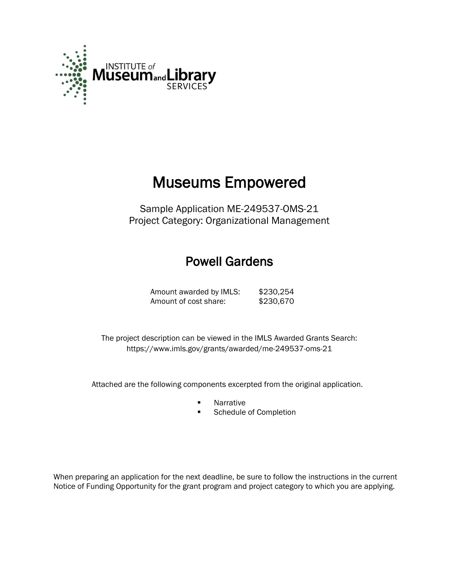

# Museums Empowered

Sample Application ME-249537-OMS-21 Project Category: Organizational Management

## Powell Gardens

Amount awarded by IMLS: \$230,254 Amount of cost share: \$230,670

 The project description can be viewed in the IMLS Awarded Grants Search: <https://www.imls.gov/grants/awarded/me-249537-oms-21>

Attached are the following components excerpted from the original application.

- **Narrative**
- **Schedule of Completion**

When preparing an application for the next deadline, be sure to follow the instructions in the current Notice of Funding Opportunity for the grant program and project category to which you are applying.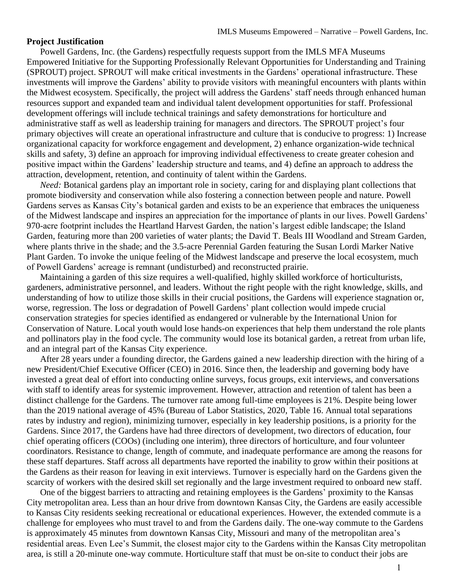#### **Project Justification**

Powell Gardens, Inc. (the Gardens) respectfully requests support from the IMLS MFA Museums Empowered Initiative for the Supporting Professionally Relevant Opportunities for Understanding and Training (SPROUT) project. SPROUT will make critical investments in the Gardens' operational infrastructure. These investments will improve the Gardens' ability to provide visitors with meaningful encounters with plants within the Midwest ecosystem. Specifically, the project will address the Gardens' staff needs through enhanced human resources support and expanded team and individual talent development opportunities for staff. Professional development offerings will include technical trainings and safety demonstrations for horticulture and administrative staff as well as leadership training for managers and directors. The SPROUT project's four primary objectives will create an operational infrastructure and culture that is conducive to progress: 1) Increase organizational capacity for workforce engagement and development, 2) enhance organization-wide technical skills and safety, 3) define an approach for improving individual effectiveness to create greater cohesion and positive impact within the Gardens' leadership structure and teams, and 4) define an approach to address the attraction, development, retention, and continuity of talent within the Gardens.

*Need:* Botanical gardens play an important role in society, caring for and displaying plant collections that promote biodiversity and conservation while also fostering a connection between people and nature. Powell Gardens serves as Kansas City's botanical garden and exists to be an experience that embraces the uniqueness of the Midwest landscape and inspires an appreciation for the importance of plants in our lives. Powell Gardens' 970-acre footprint includes the Heartland Harvest Garden, the nation's largest edible landscape; the Island Garden, featuring more than 200 varieties of water plants; the David T. Beals III Woodland and Stream Garden, where plants thrive in the shade; and the 3.5-acre Perennial Garden featuring the Susan Lordi Marker Native Plant Garden. To invoke the unique feeling of the Midwest landscape and preserve the local ecosystem, much of Powell Gardens' acreage is remnant (undisturbed) and reconstructed prairie.

Maintaining a garden of this size requires a well-qualified, highly skilled workforce of horticulturists, gardeners, administrative personnel, and leaders. Without the right people with the right knowledge, skills, and understanding of how to utilize those skills in their crucial positions, the Gardens will experience stagnation or, worse, regression. The loss or degradation of Powell Gardens' plant collection would impede crucial conservation strategies for species identified as endangered or vulnerable by the International Union for Conservation of Nature. Local youth would lose hands-on experiences that help them understand the role plants and pollinators play in the food cycle. The community would lose its botanical garden, a retreat from urban life, and an integral part of the Kansas City experience.

After 28 years under a founding director, the Gardens gained a new leadership direction with the hiring of a new President/Chief Executive Officer (CEO) in 2016. Since then, the leadership and governing body have invested a great deal of effort into conducting online surveys, focus groups, exit interviews, and conversations with staff to identify areas for systemic improvement. However, attraction and retention of talent has been a distinct challenge for the Gardens. The turnover rate among full-time employees is 21%. Despite being lower than the 2019 national average of 45% (Bureau of Labor Statistics, 2020, Table 16. Annual total separations rates by industry and region), minimizing turnover, especially in key leadership positions, is a priority for the Gardens. Since 2017, the Gardens have had three directors of development, two directors of education, four chief operating officers (COOs) (including one interim), three directors of horticulture, and four volunteer coordinators. Resistance to change, length of commute, and inadequate performance are among the reasons for these staff departures. Staff across all departments have reported the inability to grow within their positions at the Gardens as their reason for leaving in exit interviews. Turnover is especially hard on the Gardens given the scarcity of workers with the desired skill set regionally and the large investment required to onboard new staff.

One of the biggest barriers to attracting and retaining employees is the Gardens' proximity to the Kansas City metropolitan area. Less than an hour drive from downtown Kansas City, the Gardens are easily accessible to Kansas City residents seeking recreational or educational experiences. However, the extended commute is a challenge for employees who must travel to and from the Gardens daily. The one-way commute to the Gardens is approximately 45 minutes from downtown Kansas City, Missouri and many of the metropolitan area's residential areas. Even Lee's Summit, the closest major city to the Gardens within the Kansas City metropolitan area, is still a 20-minute one-way commute. Horticulture staff that must be on-site to conduct their jobs are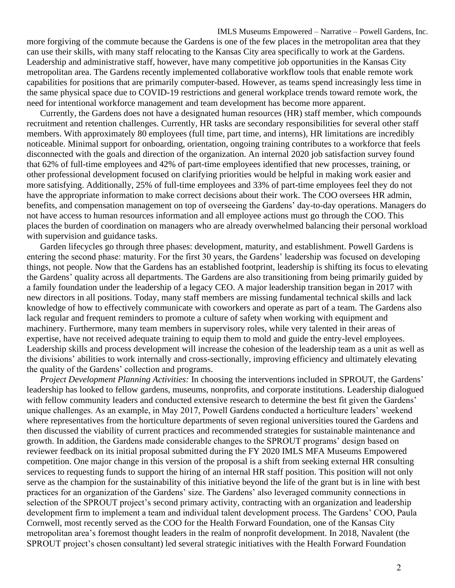IMLS Museums Empowered – Narrative – Powell Gardens, Inc. more forgiving of the commute because the Gardens is one of the few places in the metropolitan area that they can use their skills, with many staff relocating to the Kansas City area specifically to work at the Gardens. Leadership and administrative staff, however, have many competitive job opportunities in the Kansas City metropolitan area. The Gardens recently implemented collaborative workflow tools that enable remote work capabilities for positions that are primarily computer-based. However, as teams spend increasingly less time in the same physical space due to COVID-19 restrictions and general workplace trends toward remote work, the need for intentional workforce management and team development has become more apparent.

Currently, the Gardens does not have a designated human resources (HR) staff member, which compounds recruitment and retention challenges. Currently, HR tasks are secondary responsibilities for several other staff members. With approximately 80 employees (full time, part time, and interns), HR limitations are incredibly noticeable. Minimal support for onboarding, orientation, ongoing training contributes to a workforce that feels disconnected with the goals and direction of the organization. An internal 2020 job satisfaction survey found that 62% of full-time employees and 42% of part-time employees identified that new processes, training, or other professional development focused on clarifying priorities would be helpful in making work easier and more satisfying. Additionally, 25% of full-time employees and 33% of part-time employees feel they do not have the appropriate information to make correct decisions about their work. The COO oversees HR admin, benefits, and compensation management on top of overseeing the Gardens' day-to-day operations. Managers do not have access to human resources information and all employee actions must go through the COO. This places the burden of coordination on managers who are already overwhelmed balancing their personal workload with supervision and guidance tasks.

Garden lifecycles go through three phases: development, maturity, and establishment. Powell Gardens is entering the second phase: maturity. For the first 30 years, the Gardens' leadership was focused on developing things, not people. Now that the Gardens has an established footprint, leadership is shifting its focus to elevating the Gardens' quality across all departments. The Gardens are also transitioning from being primarily guided by a family foundation under the leadership of a legacy CEO. A major leadership transition began in 2017 with new directors in all positions. Today, many staff members are missing fundamental technical skills and lack knowledge of how to effectively communicate with coworkers and operate as part of a team. The Gardens also lack regular and frequent reminders to promote a culture of safety when working with equipment and machinery. Furthermore, many team members in supervisory roles, while very talented in their areas of expertise, have not received adequate training to equip them to mold and guide the entry-level employees. Leadership skills and process development will increase the cohesion of the leadership team as a unit as well as the divisions' abilities to work internally and cross-sectionally, improving efficiency and ultimately elevating the quality of the Gardens' collection and programs.

*Project Development Planning Activities:* In choosing the interventions included in SPROUT, the Gardens' leadership has looked to fellow gardens, museums, nonprofits, and corporate institutions. Leadership dialogued with fellow community leaders and conducted extensive research to determine the best fit given the Gardens' unique challenges. As an example, in May 2017, Powell Gardens conducted a horticulture leaders' weekend where representatives from the horticulture departments of seven regional universities toured the Gardens and then discussed the viability of current practices and recommended strategies for sustainable maintenance and growth. In addition, the Gardens made considerable changes to the SPROUT programs' design based on reviewer feedback on its initial proposal submitted during the FY 2020 IMLS MFA Museums Empowered competition. One major change in this version of the proposal is a shift from seeking external HR consulting services to requesting funds to support the hiring of an internal HR staff position. This position will not only serve as the champion for the sustainability of this initiative beyond the life of the grant but is in line with best practices for an organization of the Gardens' size. The Gardens' also leveraged community connections in selection of the SPROUT project's second primary activity, contracting with an organization and leadership development firm to implement a team and individual talent development process. The Gardens' COO, Paula Cornwell, most recently served as the COO for the Health Forward Foundation, one of the Kansas City metropolitan area's foremost thought leaders in the realm of nonprofit development. In 2018, Navalent (the SPROUT project's chosen consultant) led several strategic initiatives with the Health Forward Foundation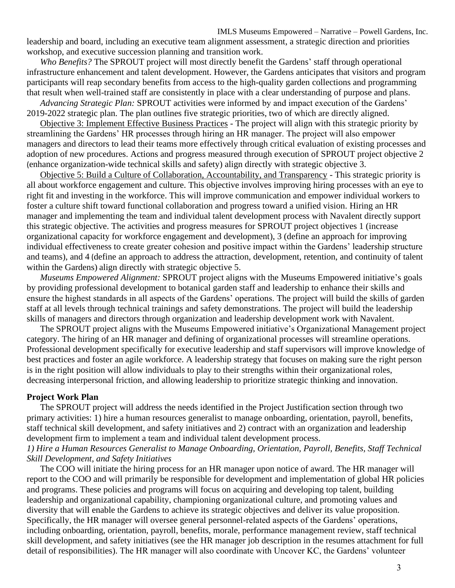leadership and board, including an executive team alignment assessment, a strategic direction and priorities workshop, and executive succession planning and transition work.

*Who Benefits?* The SPROUT project will most directly benefit the Gardens' staff through operational infrastructure enhancement and talent development. However, the Gardens anticipates that visitors and program participants will reap secondary benefits from access to the high-quality garden collections and programming that result when well-trained staff are consistently in place with a clear understanding of purpose and plans.

*Advancing Strategic Plan:* SPROUT activities were informed by and impact execution of the Gardens' 2019-2022 strategic plan. The plan outlines five strategic priorities, two of which are directly aligned.

Objective 3: Implement Effective Business Practices - The project will align with this strategic priority by streamlining the Gardens' HR processes through hiring an HR manager. The project will also empower managers and directors to lead their teams more effectively through critical evaluation of existing processes and adoption of new procedures. Actions and progress measured through execution of SPROUT project objective 2 (enhance organization-wide technical skills and safety) align directly with strategic objective 3.

Objective 5: Build a Culture of Collaboration, Accountability, and Transparency - This strategic priority is all about workforce engagement and culture. This objective involves improving hiring processes with an eye to right fit and investing in the workforce. This will improve communication and empower individual workers to foster a culture shift toward functional collaboration and progress toward a unified vision. Hiring an HR manager and implementing the team and individual talent development process with Navalent directly support this strategic objective. The activities and progress measures for SPROUT project objectives 1 (increase organizational capacity for workforce engagement and development), 3 (define an approach for improving individual effectiveness to create greater cohesion and positive impact within the Gardens' leadership structure and teams), and 4 (define an approach to address the attraction, development, retention, and continuity of talent within the Gardens) align directly with strategic objective 5.

*Museums Empowered Alignment:* SPROUT project aligns with the Museums Empowered initiative's goals by providing professional development to botanical garden staff and leadership to enhance their skills and ensure the highest standards in all aspects of the Gardens' operations. The project will build the skills of garden staff at all levels through technical trainings and safety demonstrations. The project will build the leadership skills of managers and directors through organization and leadership development work with Navalent.

The SPROUT project aligns with the Museums Empowered initiative's Organizational Management project category. The hiring of an HR manager and defining of organizational processes will streamline operations. Professional development specifically for executive leadership and staff supervisors will improve knowledge of best practices and foster an agile workforce. A leadership strategy that focuses on making sure the right person is in the right position will allow individuals to play to their strengths within their organizational roles, decreasing interpersonal friction, and allowing leadership to prioritize strategic thinking and innovation.

#### **Project Work Plan**

The SPROUT project will address the needs identified in the Project Justification section through two primary activities: 1) hire a human resources generalist to manage onboarding, orientation, payroll, benefits, staff technical skill development, and safety initiatives and 2) contract with an organization and leadership development firm to implement a team and individual talent development process.

#### *1) Hire a Human Resources Generalist to Manage Onboarding, Orientation, Payroll, Benefits, Staff Technical Skill Development, and Safety Initiatives*

The COO will initiate the hiring process for an HR manager upon notice of award. The HR manager will report to the COO and will primarily be responsible for development and implementation of global HR policies and programs. These policies and programs will focus on acquiring and developing top talent, building leadership and organizational capability, championing organizational culture, and promoting values and diversity that will enable the Gardens to achieve its strategic objectives and deliver its value proposition. Specifically, the HR manager will oversee general personnel-related aspects of the Gardens' operations, including onboarding, orientation, payroll, benefits, morale, performance management review, staff technical skill development, and safety initiatives (see the HR manager job description in the resumes attachment for full detail of responsibilities). The HR manager will also coordinate with Uncover KC, the Gardens' volunteer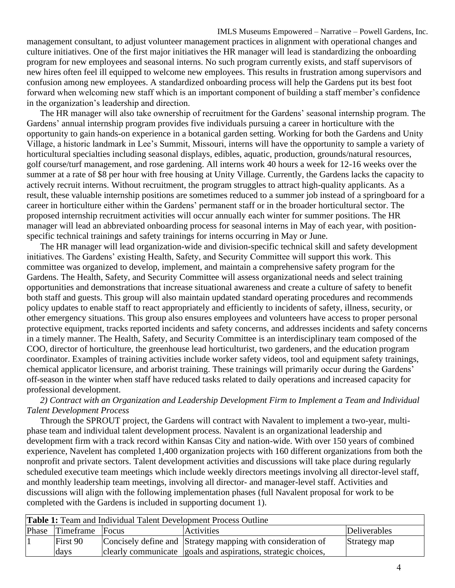IMLS Museums Empowered – Narrative – Powell Gardens, Inc. management consultant, to adjust volunteer management practices in alignment with operational changes and culture initiatives. One of the first major initiatives the HR manager will lead is standardizing the onboarding program for new employees and seasonal interns. No such program currently exists, and staff supervisors of new hires often feel ill equipped to welcome new employees. This results in frustration among supervisors and confusion among new employees. A standardized onboarding process will help the Gardens put its best foot forward when welcoming new staff which is an important component of building a staff member's confidence in the organization's leadership and direction.

The HR manager will also take ownership of recruitment for the Gardens' seasonal internship program. The Gardens' annual internship program provides five individuals pursuing a career in horticulture with the opportunity to gain hands-on experience in a botanical garden setting. Working for both the Gardens and Unity Village, a historic landmark in Lee's Summit, Missouri, interns will have the opportunity to sample a variety of horticultural specialties including seasonal displays, edibles, aquatic, production, grounds/natural resources, golf course/turf management, and rose gardening. All interns work 40 hours a week for 12-16 weeks over the summer at a rate of \$8 per hour with free housing at Unity Village. Currently, the Gardens lacks the capacity to actively recruit interns. Without recruitment, the program struggles to attract high-quality applicants. As a result, these valuable internship positions are sometimes reduced to a summer job instead of a springboard for a career in horticulture either within the Gardens' permanent staff or in the broader horticultural sector. The proposed internship recruitment activities will occur annually each winter for summer positions. The HR manager will lead an abbreviated onboarding process for seasonal interns in May of each year, with positionspecific technical trainings and safety trainings for interns occurring in May or June.

The HR manager will lead organization-wide and division-specific technical skill and safety development initiatives. The Gardens' existing Health, Safety, and Security Committee will support this work. This committee was organized to develop, implement, and maintain a comprehensive safety program for the Gardens. The Health, Safety, and Security Committee will assess organizational needs and select training opportunities and demonstrations that increase situational awareness and create a culture of safety to benefit both staff and guests. This group will also maintain updated standard operating procedures and recommends policy updates to enable staff to react appropriately and efficiently to incidents of safety, illness, security, or other emergency situations. This group also ensures employees and volunteers have access to proper personal protective equipment, tracks reported incidents and safety concerns, and addresses incidents and safety concerns in a timely manner. The Health, Safety, and Security Committee is an interdisciplinary team composed of the COO, director of horticulture, the greenhouse lead horticulturist, two gardeners, and the education program coordinator. Examples of training activities include worker safety videos, tool and equipment safety trainings, chemical applicator licensure, and arborist training. These trainings will primarily occur during the Gardens' off-season in the winter when staff have reduced tasks related to daily operations and increased capacity for professional development.

*2) Contract with an Organization and Leadership Development Firm to Implement a Team and Individual Talent Development Process*

Through the SPROUT project, the Gardens will contract with Navalent to implement a two-year, multiphase team and individual talent development process. Navalent is an organizational leadership and development firm with a track record within Kansas City and nation-wide. With over 150 years of combined experience, Navelent has completed 1,400 organization projects with 160 different organizations from both the nonprofit and private sectors. Talent development activities and discussions will take place during regularly scheduled executive team meetings which include weekly directors meetings involving all director-level staff, and monthly leadership team meetings, involving all director- and manager-level staff. Activities and discussions will align with the following implementation phases (full Navalent proposal for work to be completed with the Gardens is included in supporting document 1).

| <b>Table 1:</b> Team and Individual Talent Development Process Outline |                 |       |                                                               |              |  |  |  |  |
|------------------------------------------------------------------------|-----------------|-------|---------------------------------------------------------------|--------------|--|--|--|--|
|                                                                        | Phase Timeframe | Focus | <b>Activities</b>                                             | Deliverables |  |  |  |  |
|                                                                        | First 90        |       | Concisely define and Strategy mapping with consideration of   | Strategy map |  |  |  |  |
|                                                                        | days            |       | clearly communicate goals and aspirations, strategic choices, |              |  |  |  |  |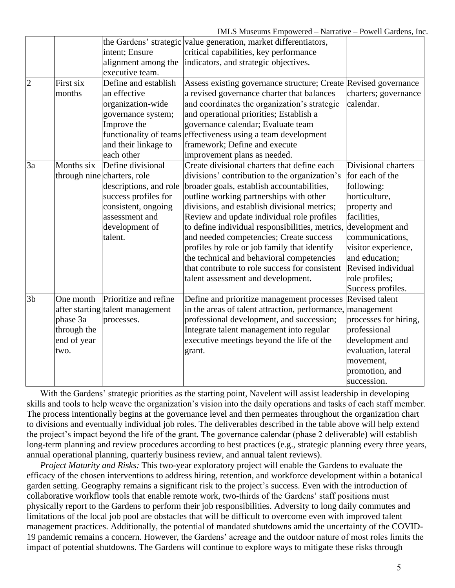|                |             |                                  | the Gardens' strategic value generation, market differentiators, |                       |
|----------------|-------------|----------------------------------|------------------------------------------------------------------|-----------------------|
|                |             | intent; Ensure                   | critical capabilities, key performance                           |                       |
|                |             | alignment among the              | indicators, and strategic objectives.                            |                       |
|                |             | executive team.                  |                                                                  |                       |
| $\overline{c}$ | First six   | Define and establish             | Assess existing governance structure; Create Revised governance  |                       |
|                | months      | an effective                     | a revised governance charter that balances                       | charters; governance  |
|                |             | organization-wide                | and coordinates the organization's strategic                     | calendar.             |
|                |             | governance system;               | and operational priorities; Establish a                          |                       |
|                |             | Improve the                      | governance calendar; Evaluate team                               |                       |
|                |             | functionality of teams           | effectiveness using a team development                           |                       |
|                |             | and their linkage to             | framework; Define and execute                                    |                       |
|                |             | each other                       | improvement plans as needed.                                     |                       |
| 3a             | Months six  | Define divisional                | Create divisional charters that define each                      | Divisional charters   |
|                |             | through nine charters, role      | divisions' contribution to the organization's                    | for each of the       |
|                |             | descriptions, and role           | broader goals, establish accountabilities,                       | following:            |
|                |             | success profiles for             | outline working partnerships with other                          | horticulture,         |
|                |             | consistent, ongoing              | divisions, and establish divisional metrics;                     | property and          |
|                |             | assessment and                   | Review and update individual role profiles                       | facilities,           |
|                |             | development of                   | to define individual responsibilities, metrics,                  | development and       |
|                |             | talent.                          | and needed competencies; Create success                          | communications,       |
|                |             |                                  | profiles by role or job family that identify                     | visitor experience,   |
|                |             |                                  | the technical and behavioral competencies                        | and education;        |
|                |             |                                  | that contribute to role success for consistent                   | Revised individual    |
|                |             |                                  | talent assessment and development.                               | role profiles;        |
|                |             |                                  |                                                                  | Success profiles.     |
| 3 <sub>b</sub> | One month   | Prioritize and refine            | Define and prioritize management processes                       | <b>Revised talent</b> |
|                |             | after starting talent management | in the areas of talent attraction, performance, management       |                       |
|                | phase 3a    | processes.                       | professional development, and succession;                        | processes for hiring, |
|                | through the |                                  | Integrate talent management into regular                         | professional          |
|                | end of year |                                  | executive meetings beyond the life of the                        | development and       |
|                | two.        |                                  | grant.                                                           | evaluation, lateral   |
|                |             |                                  |                                                                  | movement,             |
|                |             |                                  |                                                                  | promotion, and        |
|                |             |                                  |                                                                  | succession.           |

With the Gardens' strategic priorities as the starting point, Navelent will assist leadership in developing skills and tools to help weave the organization's vision into the daily operations and tasks of each staff member. The process intentionally begins at the governance level and then permeates throughout the organization chart to divisions and eventually individual job roles. The deliverables described in the table above will help extend the project's impact beyond the life of the grant. The governance calendar (phase 2 deliverable) will establish long-term planning and review procedures according to best practices (e.g., strategic planning every three years, annual operational planning, quarterly business review, and annual talent reviews).

*Project Maturity and Risks:* This two-year exploratory project will enable the Gardens to evaluate the efficacy of the chosen interventions to address hiring, retention, and workforce development within a botanical garden setting. Geography remains a significant risk to the project's success. Even with the introduction of collaborative workflow tools that enable remote work, two-thirds of the Gardens' staff positions must physically report to the Gardens to perform their job responsibilities. Adversity to long daily commutes and limitations of the local job pool are obstacles that will be difficult to overcome even with improved talent management practices. Additionally, the potential of mandated shutdowns amid the uncertainty of the COVID-19 pandemic remains a concern. However, the Gardens' acreage and the outdoor nature of most roles limits the impact of potential shutdowns. The Gardens will continue to explore ways to mitigate these risks through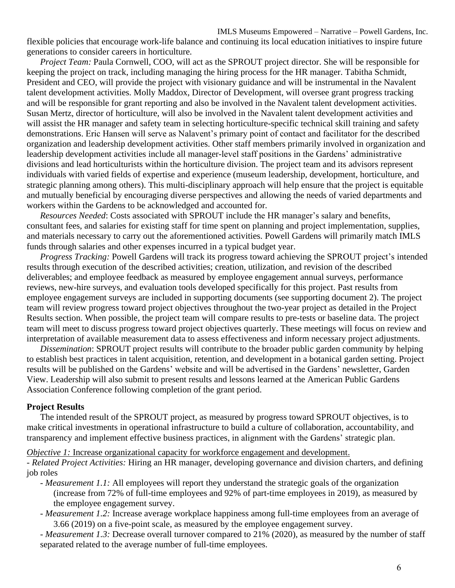IMLS Museums Empowered – Narrative – Powell Gardens, Inc.

flexible policies that encourage work-life balance and continuing its local education initiatives to inspire future generations to consider careers in horticulture.

*Project Team:* Paula Cornwell, COO, will act as the SPROUT project director. She will be responsible for keeping the project on track, including managing the hiring process for the HR manager. Tabitha Schmidt, President and CEO, will provide the project with visionary guidance and will be instrumental in the Navalent talent development activities. Molly Maddox, Director of Development, will oversee grant progress tracking and will be responsible for grant reporting and also be involved in the Navalent talent development activities. Susan Mertz, director of horticulture, will also be involved in the Navalent talent development activities and will assist the HR manager and safety team in selecting horticulture-specific technical skill training and safety demonstrations. Eric Hansen will serve as Nalavent's primary point of contact and facilitator for the described organization and leadership development activities. Other staff members primarily involved in organization and leadership development activities include all manager-level staff positions in the Gardens' administrative divisions and lead horticulturists within the horticulture division. The project team and its advisors represent individuals with varied fields of expertise and experience (museum leadership, development, horticulture, and strategic planning among others). This multi-disciplinary approach will help ensure that the project is equitable and mutually beneficial by encouraging diverse perspectives and allowing the needs of varied departments and workers within the Gardens to be acknowledged and accounted for.

*Resources Needed*: Costs associated with SPROUT include the HR manager's salary and benefits, consultant fees, and salaries for existing staff for time spent on planning and project implementation, supplies, and materials necessary to carry out the aforementioned activities. Powell Gardens will primarily match IMLS funds through salaries and other expenses incurred in a typical budget year.

*Progress Tracking:* Powell Gardens will track its progress toward achieving the SPROUT project's intended results through execution of the described activities; creation, utilization, and revision of the described deliverables; and employee feedback as measured by employee engagement annual surveys, performance reviews, new-hire surveys, and evaluation tools developed specifically for this project. Past results from employee engagement surveys are included in supporting documents (see supporting document 2). The project team will review progress toward project objectives throughout the two-year project as detailed in the Project Results section. When possible, the project team will compare results to pre-tests or baseline data. The project team will meet to discuss progress toward project objectives quarterly. These meetings will focus on review and interpretation of available measurement data to assess effectiveness and inform necessary project adjustments.

*Dissemination*: SPROUT project results will contribute to the broader public garden community by helping to establish best practices in talent acquisition, retention, and development in a botanical garden setting. Project results will be published on the Gardens' website and will be advertised in the Gardens' newsletter, Garden View. Leadership will also submit to present results and lessons learned at the American Public Gardens Association Conference following completion of the grant period.

#### **Project Results**

The intended result of the SPROUT project, as measured by progress toward SPROUT objectives, is to make critical investments in operational infrastructure to build a culture of collaboration, accountability, and transparency and implement effective business practices, in alignment with the Gardens' strategic plan.

*Objective 1:* Increase organizational capacity for workforce engagement and development.

*- Related Project Activities:* Hiring an HR manager, developing governance and division charters, and defining job roles

- *- Measurement 1.1:* All employees will report they understand the strategic goals of the organization (increase from 72% of full-time employees and 92% of part-time employees in 2019), as measured by the employee engagement survey.
- *- Measurement 1.2:* Increase average workplace happiness among full-time employees from an average of 3.66 (2019) on a five-point scale, as measured by the employee engagement survey.

*- Measurement 1.3:* Decrease overall turnover compared to 21% (2020), as measured by the number of staff separated related to the average number of full-time employees.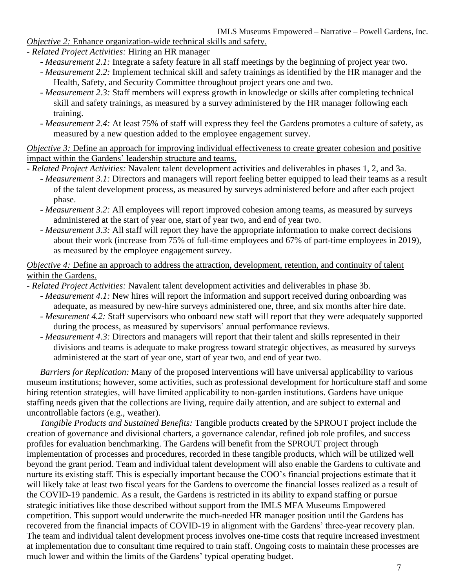*Objective 2:* Enhance organization-wide technical skills and safety.

- *- Related Project Activities:* Hiring an HR manager
	- *- Measurement 2.1:* Integrate a safety feature in all staff meetings by the beginning of project year two.
	- *- Measurement 2.2:* Implement technical skill and safety trainings as identified by the HR manager and the Health, Safety, and Security Committee throughout project years one and two.
	- *- Measurement 2.3:* Staff members will express growth in knowledge or skills after completing technical skill and safety trainings, as measured by a survey administered by the HR manager following each training.
	- *- Measurement 2.4:* At least 75% of staff will express they feel the Gardens promotes a culture of safety, as measured by a new question added to the employee engagement survey.

*Objective 3:* Define an approach for improving individual effectiveness to create greater cohesion and positive impact within the Gardens' leadership structure and teams.

*- Related Project Activities:* Navalent talent development activities and deliverables in phases 1, 2, and 3a.

- *- Measurement 3.1:* Directors and managers will report feeling better equipped to lead their teams as a result of the talent development process, as measured by surveys administered before and after each project phase.
- *- Measurement 3.2:* All employees will report improved cohesion among teams, as measured by surveys administered at the start of year one, start of year two, and end of year two.
- *- Measurement 3.3:* All staff will report they have the appropriate information to make correct decisions about their work (increase from 75% of full-time employees and 67% of part-time employees in 2019), as measured by the employee engagement survey.

*Objective 4:* Define an approach to address the attraction, development, retention, and continuity of talent within the Gardens.

- *- Related Project Activities:* Navalent talent development activities and deliverables in phase 3b.
	- *- Measurement 4.1:* New hires will report the information and support received during onboarding was adequate, as measured by new-hire surveys administered one, three, and six months after hire date.
	- *- Mesurement 4.2:* Staff supervisors who onboard new staff will report that they were adequately supported during the process, as measured by supervisors' annual performance reviews.
	- *- Measurement 4.3:* Directors and managers will report that their talent and skills represented in their divisions and teams is adequate to make progress toward strategic objectives, as measured by surveys administered at the start of year one, start of year two, and end of year two.

*Barriers for Replication:* Many of the proposed interventions will have universal applicability to various museum institutions; however, some activities, such as professional development for horticulture staff and some hiring retention strategies, will have limited applicability to non-garden institutions. Gardens have unique staffing needs given that the collections are living, require daily attention, and are subject to external and uncontrollable factors (e.g., weather).

*Tangible Products and Sustained Benefits:* Tangible products created by the SPROUT project include the creation of governance and divisional charters, a governance calendar, refined job role profiles, and success profiles for evaluation benchmarking. The Gardens will benefit from the SPROUT project through implementation of processes and procedures, recorded in these tangible products, which will be utilized well beyond the grant period. Team and individual talent development will also enable the Gardens to cultivate and nurture its existing staff. This is especially important because the COO's financial projections estimate that it will likely take at least two fiscal years for the Gardens to overcome the financial losses realized as a result of the COVID-19 pandemic. As a result, the Gardens is restricted in its ability to expand staffing or pursue strategic initiatives like those described without support from the IMLS MFA Museums Empowered competition. This support would underwrite the much-needed HR manager position until the Gardens has recovered from the financial impacts of COVID-19 in alignment with the Gardens' three-year recovery plan. The team and individual talent development process involves one-time costs that require increased investment at implementation due to consultant time required to train staff. Ongoing costs to maintain these processes are much lower and within the limits of the Gardens' typical operating budget.